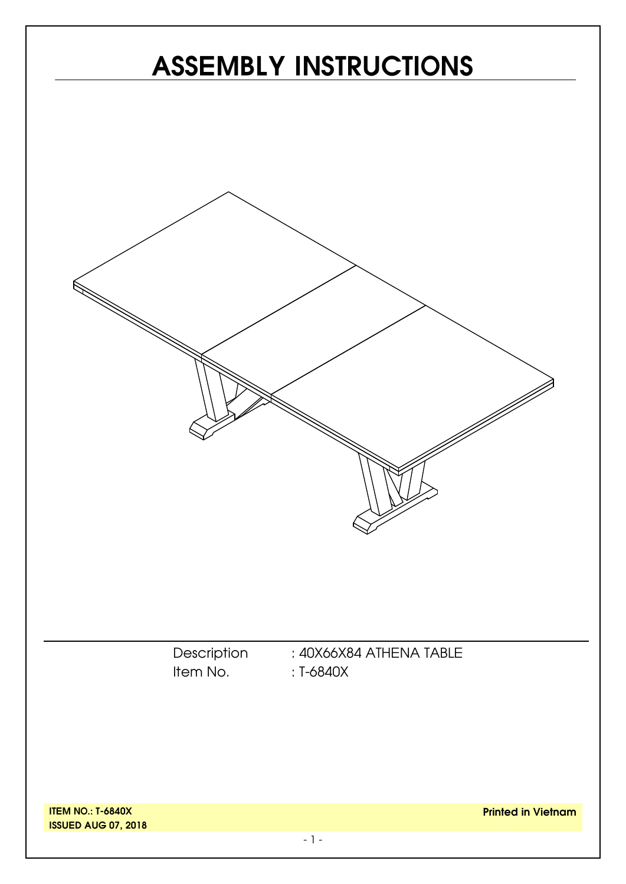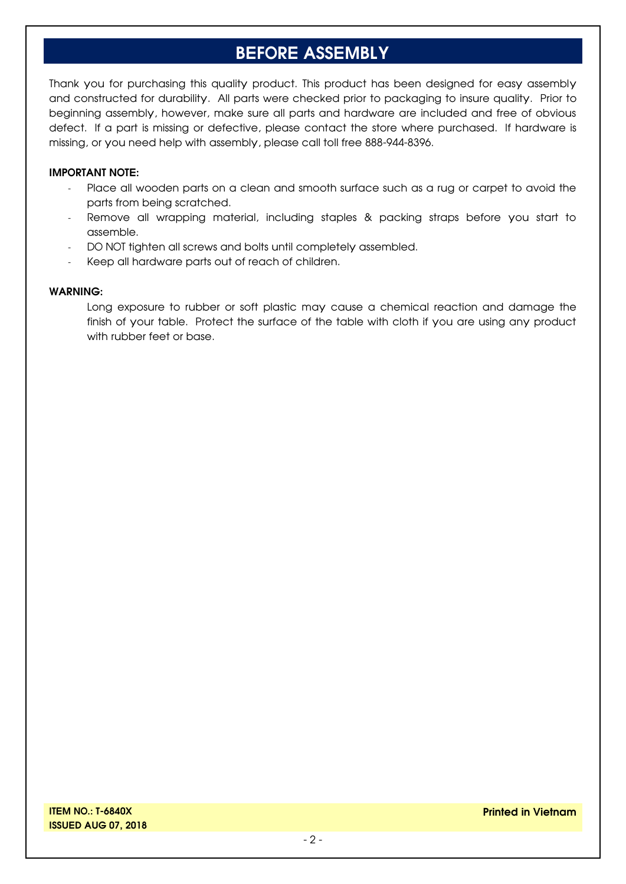# **BEFORE ASSEMBLY**

Thank you for purchasing this quality product. This product has been designed for easy assembly and constructed for durability. All parts were checked prior to packaging to insure quality. Prior to beginning assembly, however, make sure all parts and hardware are included and free of obvious defect. If a part is missing or defective, please contact the store where purchased. If hardware is missing, or you need help with assembly, please call toll free 888-944-8396.

#### **IMPORTANT NOTE:**

- Place all wooden parts on a clean and smooth surface such as a rug or carpet to avoid the parts from being scratched.
- Remove all wrapping material, including staples & packing straps before you start to assemble.
- DO NOT tighten all screws and bolts until completely assembled.
- Keep all hardware parts out of reach of children.

#### **WARNING:**

Long exposure to rubber or soft plastic may cause a chemical reaction and damage the finish of your table. Protect the surface of the table with cloth if you are using any product with rubber feet or base.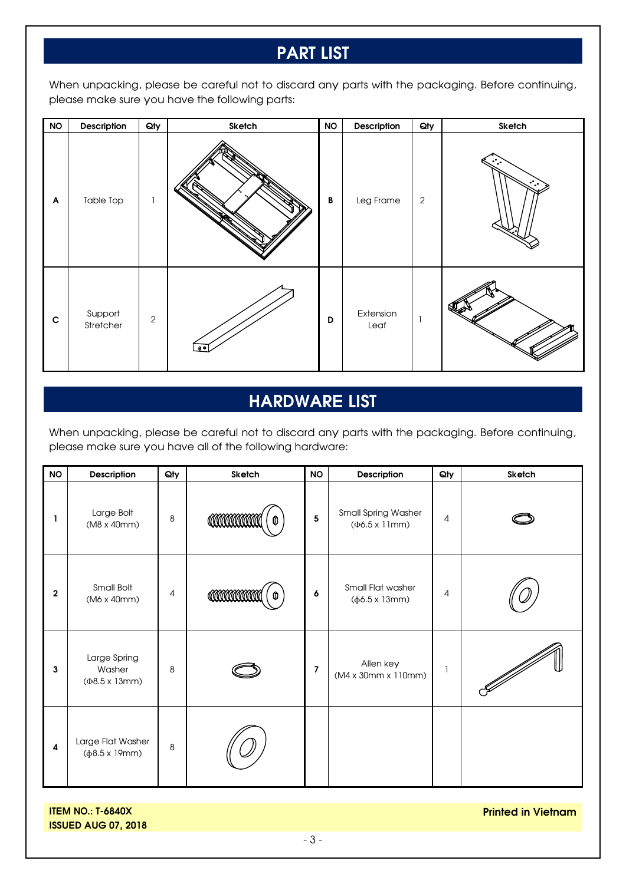# **PART LIST**

When unpacking, please be careful not to discard any parts with the packaging. Before continuing, please make sure you have the following parts:

| <b>NO</b>    | Description          | Qty            | Sketch | <b>NO</b> | Description       | Qty        | Sketch |
|--------------|----------------------|----------------|--------|-----------|-------------------|------------|--------|
| $\mathsf{A}$ | <b>Table Top</b>     |                |        | В         | Leg Frame         | $\sqrt{2}$ | ÷.,    |
| $\mathbf c$  | Support<br>Stretcher | $\overline{2}$ |        | D         | Extension<br>Leaf |            |        |

# **HARDWARE LIST**

When unpacking, please be careful not to discard any parts with the packaging. Before continuing, please make sure you have all of the following hardware:

| <b>NO</b>    | Description                                            | Qty     | Sketch               | <b>NO</b>               | Description                                           | Qty                      | Sketch |
|--------------|--------------------------------------------------------|---------|----------------------|-------------------------|-------------------------------------------------------|--------------------------|--------|
| ı            | Large Bolt<br>(M8 x 40mm)                              | 8       | <b>COMMANDA</b><br>O | $\overline{\mathbf{5}}$ | Small Spring Washer<br>$(\Phi6.5 \times 11)$ mm)      | 4                        |        |
| $\mathbf{2}$ | Small Bolt<br>(M6 x 40mm)                              | 4       | <b>COMMANDA</b><br>O | 6                       | Small Flat washer<br>$(\phi 6.5 \times 13 \text{mm})$ | 4                        |        |
| 3            | Large Spring<br>Washer<br>$(48.5 \times 13 \text{mm})$ | 8       |                      | $\overline{7}$          | Allen key<br>(M4 x 30mm x 110mm)                      | $\overline{\phantom{a}}$ |        |
| 4            | Large Flat Washer<br>$(\phi 8.5 \times 19 \text{mm})$  | $\,8\,$ |                      |                         |                                                       |                          |        |

**ITEM NO.: T-6840X ISSUED AUG 07, 2018** **Printed in Vietnam**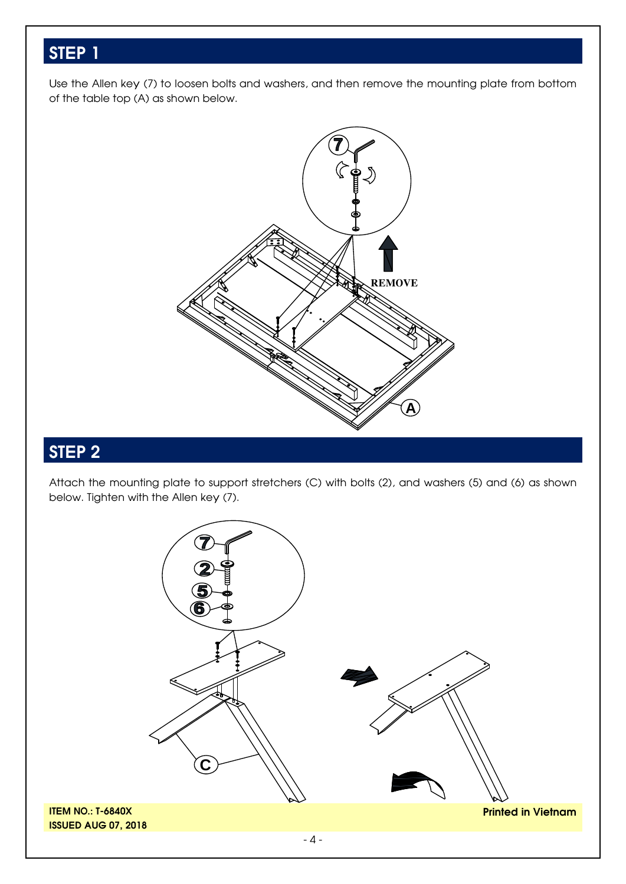Use the Allen key (7) to loosen bolts and washers, and then remove the mounting plate from bottom of the table top (A) as shown below.



# **STEP 2**

Attach the mounting plate to support stretchers (C) with bolts (2), and washers (5) and (6) as shown below. Tighten with the Allen key (7).

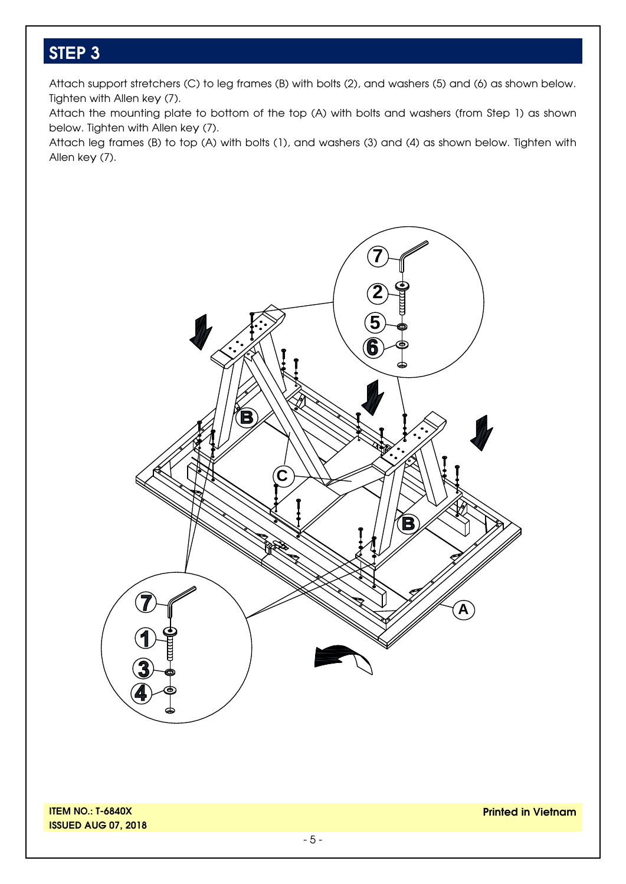Attach support stretchers (C) to leg frames (B) with bolts (2), and washers (5) and (6) as shown below. Tighten with Allen key (7).

Attach the mounting plate to bottom of the top (A) with bolts and washers (from Step 1) as shown below. Tighten with Allen key (7).

Attach leg frames (B) to top (A) with bolts (1), and washers (3) and (4) as shown below. Tighten with Allen key (7).

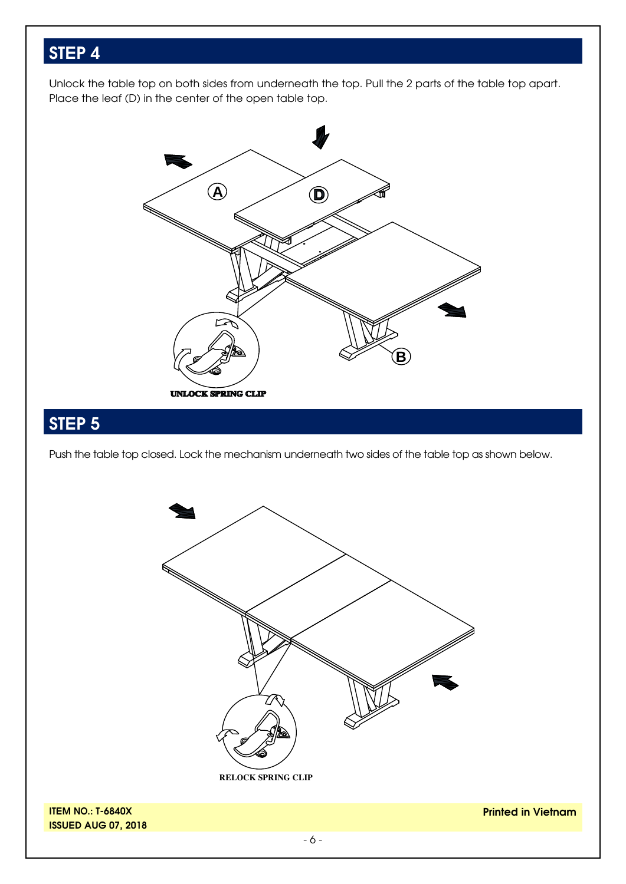Unlock the table top on both sides from underneath the top. Pull the 2 parts of the table top apart. Place the leaf (D) in the center of the open table top.



# **STEP 5**

Push the table top closed. Lock the mechanism underneath two sides of the table top as shown below.